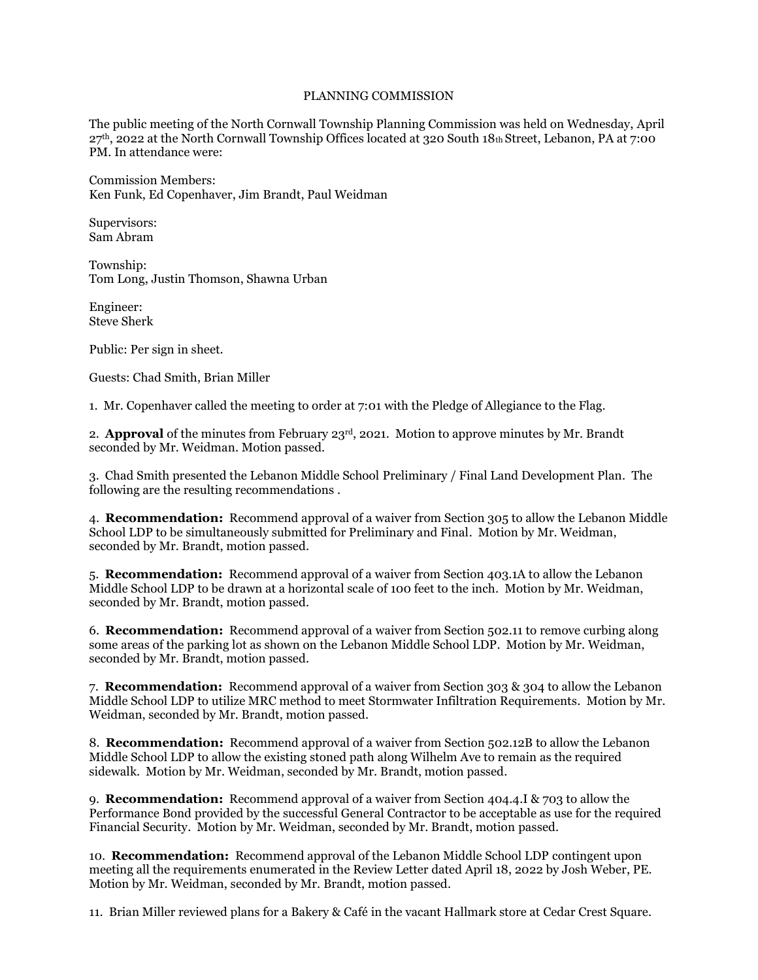## PLANNING COMMISSION

The public meeting of the North Cornwall Township Planning Commission was held on Wednesday, April 27th, 2022 at the North Cornwall Township Offices located at 320 South 18th Street, Lebanon, PA at 7:00 PM. In attendance were:

Commission Members: Ken Funk, Ed Copenhaver, Jim Brandt, Paul Weidman

Supervisors: Sam Abram

Township: Tom Long, Justin Thomson, Shawna Urban

Engineer: Steve Sherk

Public: Per sign in sheet.

Guests: Chad Smith, Brian Miller

1. Mr. Copenhaver called the meeting to order at 7:01 with the Pledge of Allegiance to the Flag.

2. **Approval** of the minutes from February 23rd, 2021. Motion to approve minutes by Mr. Brandt seconded by Mr. Weidman. Motion passed.

3. Chad Smith presented the Lebanon Middle School Preliminary / Final Land Development Plan. The following are the resulting recommendations .

4. **Recommendation:** Recommend approval of a waiver from Section 305 to allow the Lebanon Middle School LDP to be simultaneously submitted for Preliminary and Final. Motion by Mr. Weidman, seconded by Mr. Brandt, motion passed.

5. **Recommendation:** Recommend approval of a waiver from Section 403.1A to allow the Lebanon Middle School LDP to be drawn at a horizontal scale of 100 feet to the inch. Motion by Mr. Weidman, seconded by Mr. Brandt, motion passed.

6. **Recommendation:** Recommend approval of a waiver from Section 502.11 to remove curbing along some areas of the parking lot as shown on the Lebanon Middle School LDP. Motion by Mr. Weidman, seconded by Mr. Brandt, motion passed.

7. **Recommendation:** Recommend approval of a waiver from Section 303 & 304 to allow the Lebanon Middle School LDP to utilize MRC method to meet Stormwater Infiltration Requirements. Motion by Mr. Weidman, seconded by Mr. Brandt, motion passed.

8. **Recommendation:** Recommend approval of a waiver from Section 502.12B to allow the Lebanon Middle School LDP to allow the existing stoned path along Wilhelm Ave to remain as the required sidewalk. Motion by Mr. Weidman, seconded by Mr. Brandt, motion passed.

9. **Recommendation:** Recommend approval of a waiver from Section 404.4.I & 703 to allow the Performance Bond provided by the successful General Contractor to be acceptable as use for the required Financial Security. Motion by Mr. Weidman, seconded by Mr. Brandt, motion passed.

10. **Recommendation:** Recommend approval of the Lebanon Middle School LDP contingent upon meeting all the requirements enumerated in the Review Letter dated April 18, 2022 by Josh Weber, PE. Motion by Mr. Weidman, seconded by Mr. Brandt, motion passed.

11. Brian Miller reviewed plans for a Bakery & Café in the vacant Hallmark store at Cedar Crest Square.